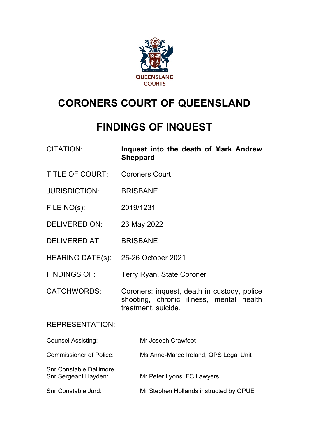

# **CORONERS COURT OF QUEENSLAND**

## **FINDINGS OF INQUEST**

| <b>CITATION:</b> |                 |  |  | Inquest into the death of Mark Andrew |
|------------------|-----------------|--|--|---------------------------------------|
|                  | <b>Sheppard</b> |  |  |                                       |

- TITLE OF COURT: Coroners Court
- JURISDICTION: BRISBANE
- FILE NO(s): 2019/1231
- DELIVERED ON: 23 May 2022
- DELIVERED AT: BRISBANE
- HEARING DATE(s): 25-26 October 2021
- FINDINGS OF: Terry Ryan, State Coroner
- CATCHWORDS: Coroners: inquest, death in custody, police shooting, chronic illness, mental health treatment, suicide.

### REPRESENTATION:

| <b>Counsel Assisting:</b>                              | Mr Joseph Crawfoot                     |
|--------------------------------------------------------|----------------------------------------|
| <b>Commissioner of Police:</b>                         | Ms Anne-Maree Ireland, QPS Legal Unit  |
| <b>Snr Constable Dallimore</b><br>Snr Sergeant Hayden: | Mr Peter Lyons, FC Lawyers             |
| Snr Constable Jurd:                                    | Mr Stephen Hollands instructed by QPUE |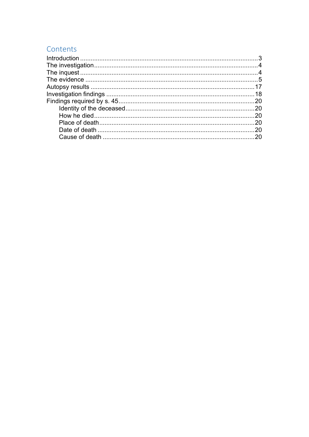## Contents

| 20  |
|-----|
| .20 |
|     |
| 20  |
| 20  |
| 20  |
|     |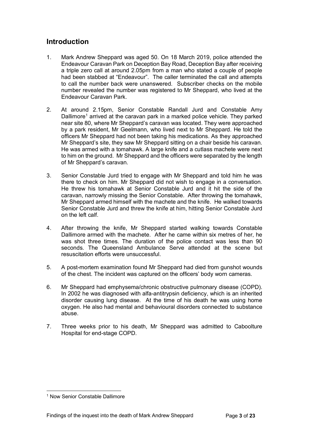## <span id="page-2-0"></span>**Introduction**

- 1. Mark Andrew Sheppard was aged 50. On 18 March 2019, police attended the Endeavour Caravan Park on Deception Bay Road, Deception Bay after receiving a triple zero call at around 2.05pm from a man who stated a couple of people had been stabbed at "Endeavour". The caller terminated the call and attempts to call the number back were unanswered. Subscriber checks on the mobile number revealed the number was registered to Mr Sheppard, who lived at the Endeavour Caravan Park.
- 2. At around 2.15pm, Senior Constable Randall Jurd and Constable Amy Dallimore<sup>[1](#page-2-1)</sup> arrived at the caravan park in a marked police vehicle. They parked near site 80, where Mr Sheppard's caravan was located. They were approached by a park resident, Mr Geelmann, who lived next to Mr Sheppard. He told the officers Mr Sheppard had not been taking his medications. As they approached Mr Sheppard's site, they saw Mr Sheppard sitting on a chair beside his caravan. He was armed with a tomahawk. A large knife and a cutlass machete were next to him on the ground. Mr Sheppard and the officers were separated by the length of Mr Sheppard's caravan.
- 3. Senior Constable Jurd tried to engage with Mr Sheppard and told him he was there to check on him. Mr Sheppard did not wish to engage in a conversation. He threw his tomahawk at Senior Constable Jurd and it hit the side of the caravan, narrowly missing the Senior Constable. After throwing the tomahawk, Mr Sheppard armed himself with the machete and the knife. He walked towards Senior Constable Jurd and threw the knife at him, hitting Senior Constable Jurd on the left calf.
- 4. After throwing the knife, Mr Sheppard started walking towards Constable Dallimore armed with the machete. After he came within six metres of her, he was shot three times. The duration of the police contact was less than 90 seconds. The Queensland Ambulance Serve attended at the scene but resuscitation efforts were unsuccessful.
- 5. A post-mortem examination found Mr Sheppard had died from gunshot wounds of the chest. The incident was captured on the officers' body worn cameras.
- 6. Mr Sheppard had emphysema/chronic obstructive pulmonary disease (COPD). In 2002 he was diagnosed with alfa-antitrypsin deficiency, which is an inherited disorder causing lung disease. At the time of his death he was using home oxygen. He also had mental and behavioural disorders connected to substance abuse.
- 7. Three weeks prior to his death, Mr Sheppard was admitted to Caboolture Hospital for end-stage COPD.

<span id="page-2-1"></span><sup>1</sup> Now Senior Constable Dallimore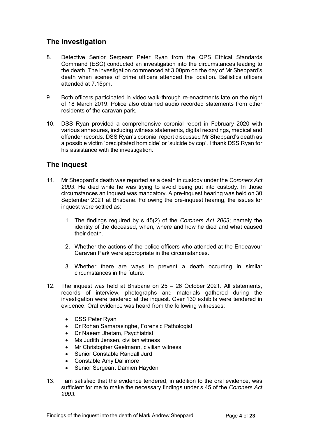## <span id="page-3-0"></span>**The investigation**

- 8. Detective Senior Sergeant Peter Ryan from the QPS Ethical Standards Command (ESC) conducted an investigation into the circumstances leading to the death. The investigation commenced at 3.00pm on the day of Mr Sheppard's death when scenes of crime officers attended the location. Ballistics officers attended at 7.15pm.
- 9. Both officers participated in video walk-through re-enactments late on the night of 18 March 2019. Police also obtained audio recorded statements from other residents of the caravan park.
- 10. DSS Ryan provided a comprehensive coronial report in February 2020 with various annexures, including witness statements, digital recordings, medical and offender records. DSS Ryan's coronial report discussed Mr Sheppard's death as a possible victim 'precipitated homicide' or 'suicide by cop'. I thank DSS Ryan for his assistance with the investigation.

## <span id="page-3-1"></span>**The inquest**

- 11. Mr Sheppard's death was reported as a death in custody under the *Coroners Act 2003*. He died while he was trying to avoid being put into custody. In those circumstances an inquest was mandatory. A pre-inquest hearing was held on 30 September 2021 at Brisbane. Following the pre-inquest hearing, the issues for inquest were settled as:
	- 1. The findings required by s 45(2) of the *Coroners Act 2003*; namely the identity of the deceased, when, where and how he died and what caused their death.
	- 2. Whether the actions of the police officers who attended at the Endeavour Caravan Park were appropriate in the circumstances.
	- 3. Whether there are ways to prevent a death occurring in similar circumstances in the future.
- 12. The inquest was held at Brisbane on 25 26 October 2021. All statements, records of interview, photographs and materials gathered during the investigation were tendered at the inquest. Over 130 exhibits were tendered in evidence. Oral evidence was heard from the following witnesses:
	- DSS Peter Ryan
	- Dr Rohan Samarasinghe, Forensic Pathologist
	- Dr Naeem Jhetam, Psychiatrist
	- Ms Judith Jensen, civilian witness
	- Mr Christopher Geelmann, civilian witness
	- Senior Constable Randall Jurd
	- Constable Amy Dallimore
	- Senior Sergeant Damien Hayden
- 13. I am satisfied that the evidence tendered, in addition to the oral evidence, was sufficient for me to make the necessary findings under s 45 of the *Coroners Act 2003.*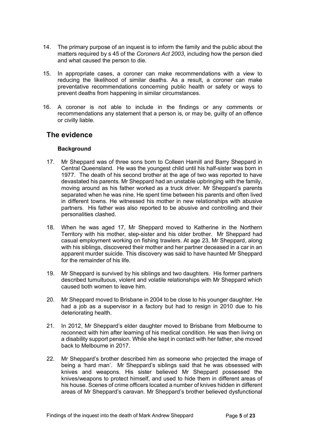- 14. The primary purpose of an inquest is to inform the family and the public about the matters required by s 45 of the *Coroners Act 2003*, including how the person died and what caused the person to die.
- 15. In appropriate cases, a coroner can make recommendations with a view to reducing the likelihood of similar deaths. As a result, a coroner can make preventative recommendations concerning public health or safety or ways to prevent deaths from happening in similar circumstances.
- 16. A coroner is not able to include in the findings or any comments or recommendations any statement that a person is, or may be, guilty of an offence or civilly liable.

## <span id="page-4-0"></span>**The evidence**

#### **Background**

- 17. Mr Sheppard was of three sons born to Colleen Hamill and Barry Sheppard in Central Queensland. He was the youngest child until his half-sister was born in 1977. The death of his second brother at the age of two was reported to have devastated his parents. Mr Sheppard had an unstable upbringing with the family, moving around as his father worked as a truck driver. Mr Sheppard's parents separated when he was nine. He spent time between his parents and often lived in different towns. He witnessed his mother in new relationships with abusive partners. His father was also reported to be abusive and controlling and their personalities clashed.
- 18. When he was aged 17, Mr Sheppard moved to Katherine in the Northern Territory with his mother, step-sister and his older brother. Mr Sheppard had casual employment working on fishing trawlers. At age 23, Mr Sheppard, along with his siblings, discovered their mother and her partner deceased in a car in an apparent murder suicide. This discovery was said to have haunted Mr Sheppard for the remainder of his life.
- 19. Mr Sheppard is survived by his siblings and two daughters. His former partners described tumultuous, violent and volatile relationships with Mr Sheppard which caused both women to leave him.
- 20. Mr Sheppard moved to Brisbane in 2004 to be close to his younger daughter. He had a job as a supervisor in a factory but had to resign in 2010 due to his deteriorating health.
- 21. In 2012, Mr Sheppard's elder daughter moved to Brisbane from Melbourne to reconnect with him after learning of his medical condition. He was then living on a disability support pension. While she kept in contact with her father, she moved back to Melbourne in 2017.
- 22. Mr Sheppard's brother described him as someone who projected the image of being a 'hard man'. Mr Sheppard's siblings said that he was obsessed with knives and weapons. His sister believed Mr Sheppard possessed the knives/weapons to protect himself, and used to hide them in different areas of his house. Scenes of crime officers located a number of knives hidden in different areas of Mr Sheppard's caravan. Mr Sheppard's brother believed dysfunctional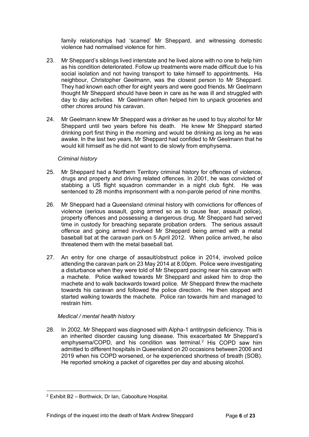family relationships had 'scarred' Mr Sheppard, and witnessing domestic violence had normalised violence for him.

- 23. Mr Sheppard's siblings lived interstate and he lived alone with no one to help him as his condition deteriorated. Follow up treatments were made difficult due to his social isolation and not having transport to take himself to appointments. His neighbour, Christopher Geelmann, was the closest person to Mr Sheppard. They had known each other for eight years and were good friends. Mr Geelmann thought Mr Sheppard should have been in care as he was ill and struggled with day to day activities. Mr Geelmann often helped him to unpack groceries and other chores around his caravan.
- 24. Mr Geelmann knew Mr Sheppard was a drinker as he used to buy alcohol for Mr Sheppard until two years before his death. He knew Mr Sheppard started drinking port first thing in the morning and would be drinking as long as he was awake. In the last two years, Mr Sheppard had confided to Mr Geelmann that he would kill himself as he did not want to die slowly from emphysema.

#### *Criminal history*

- 25. Mr Sheppard had a Northern Territory criminal history for offences of violence, drugs and property and driving related offences. In 2001, he was convicted of stabbing a US flight squadron commander in a night club fight. He was sentenced to 28 months imprisonment with a non-parole period of nine months.
- 26. Mr Sheppard had a Queensland criminal history with convictions for offences of violence (serious assault, going armed so as to cause fear, assault police), property offences and possessing a dangerous drug. Mr Sheppard had served time in custody for breaching separate probation orders. The serious assault offence and going armed involved Mr Sheppard being armed with a metal baseball bat at the caravan park on 5 April 2012. When police arrived, he also threatened them with the metal baseball bat.
- 27. An entry for one charge of assault/obstruct police in 2014, involved police attending the caravan park on 23 May 2014 at 8.00pm. Police were investigating a disturbance when they were told of Mr Sheppard pacing near his caravan with a machete. Police walked towards Mr Sheppard and asked him to drop the machete and to walk backwards toward police. Mr Sheppard threw the machete towards his caravan and followed the police direction. He then stopped and started walking towards the machete. Police ran towards him and managed to restrain him.

#### *Medical / mental health history*

28. In 2002, Mr Sheppard was diagnosed with Alpha-1 antitrypsin deficiency. This is an inherited disorder causing lung disease. This exacerbated Mr Sheppard's emphysema/COPD, and his condition was terminal.<sup>[2](#page-5-0)</sup> His COPD saw him admitted to different hospitals in Queensland on 20 occasions between 2006 and 2019 when his COPD worsened, or he experienced shortness of breath (SOB). He reported smoking a packet of cigarettes per day and abusing alcohol.

<span id="page-5-0"></span><sup>2</sup> Exhibit B2 – Borthwick, Dr Ian, Caboolture Hospital.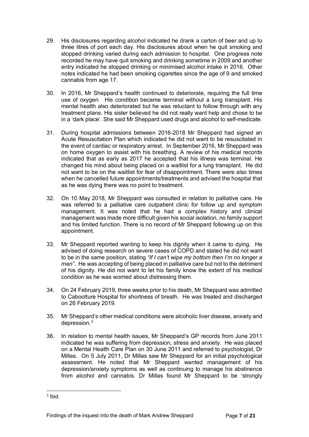- 29. His disclosures regarding alcohol indicated he drank a carton of beer and up to three litres of port each day. His disclosures about when he quit smoking and stopped drinking varied during each admission to hospital. One progress note recorded he may have quit smoking and drinking sometime in 2009 and another entry indicated he stopped drinking or minimised alcohol intake in 2016. Other notes indicated he had been smoking cigarettes since the age of 9 and smoked cannabis from age 17.
- 30. In 2016, Mr Sheppard's health continued to deteriorate, requiring the full time use of oxygen. His condition became terminal without a lung transplant. His mental health also deteriorated but he was reluctant to follow through with any treatment plans. His sister believed he did not really want help and chose to be in a 'dark place'. She said Mr Sheppard used drugs and alcohol to self-medicate.
- 31. During hospital admissions between 2016-2018 Mr Sheppard had signed an Acute Resuscitation Plan which indicated he did not want to be resuscitated in the event of cardiac or respiratory arrest. In September 2016, Mr Sheppard was on home oxygen to assist with his breathing. A review of his medical records indicated that as early as 2017 he accepted that his illness was terminal. He changed his mind about being placed on a waitlist for a lung transplant. He did not want to be on the waitlist for fear of disappointment. There were also times when he cancelled future appointments/treatments and advised the hospital that as he was dying there was no point to treatment.
- 32. On 10 May 2018, Mr Sheppard was consulted in relation to palliative care. He was referred to a palliative care outpatient clinic for follow up and symptom management. It was noted that he had a complex history and clinical management was made more difficult given his social isolation, no family support and his limited function. There is no record of Mr Sheppard following up on this appointment.
- 33. Mr Sheppard reported wanting to keep his dignity when it came to dying. He advised of doing research on severe cases of COPD and stated he did not want to be in the same position, stating *"If I can't wipe my bottom then I'm no longer a man"*. He was accepting of being placed in palliative care but not to the detriment of his dignity. He did not want to let his family know the extent of his medical condition as he was worried about distressing them.
- 34. On 24 February 2019, three weeks prior to his death, Mr Sheppard was admitted to Caboolture Hospital for shortness of breath. He was treated and discharged on 26 February 2019.
- 35. Mr Sheppard's other medical conditions were alcoholic liver disease, anxiety and depression[.3](#page-6-0)
- 36. In relation to mental health issues, Mr Sheppard's GP records from June 2011 indicated he was suffering from depression, stress and anxiety. He was placed on a Mental Health Care Plan on 30 June 2011 and referred to psychologist, Dr Millas. On 5 July 2011, Dr Millas saw Mr Sheppard for an initial psychological assessment. He noted that Mr Sheppard wanted management of his depression/anxiety symptoms as well as continuing to manage his abstinence from alcohol and cannabis. Dr Millas found Mr Sheppard to be 'strongly

<span id="page-6-0"></span><sup>3</sup> Ibid.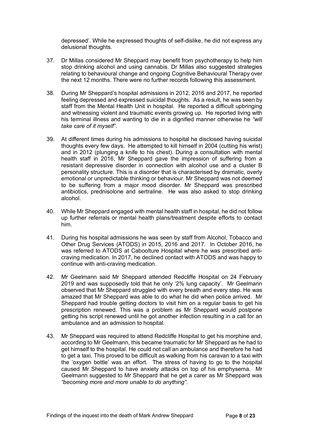depressed'. While he expressed thoughts of self-dislike, he did not express any delusional thoughts.

- 37. Dr Millas considered Mr Sheppard may benefit from psychotherapy to help him stop drinking alcohol and using cannabis. Dr Millas also suggested strategies relating to behavioural change and ongoing Cognitive Behavioural Therapy over the next 12 months. There were no further records following this assessment.
- 38. During Mr Sheppard's hospital admissions in 2012, 2016 and 2017, he reported feeling depressed and expressed suicidal thoughts. As a result, he was seen by staff from the Mental Health Unit in hospital. He reported a difficult upbringing and witnessing violent and traumatic events growing up. He reported living with his terminal illness and wanting to die in a dignified manner otherwise he *"will take care of it myself"*.
- 39. At different times during his admissions to hospital he disclosed having suicidal thoughts every few days. He attempted to kill himself in 2004 (cutting his wrist) and in 2012 (plunging a knife to his chest). During a consultation with mental health staff in 2016, Mr Sheppard gave the impression of suffering from a resistant depressive disorder in connection with alcohol use and a cluster B personality structure. This is a disorder that is characterised by dramatic, overly emotional or unpredictable thinking or behaviour. Mr Sheppard was not deemed to be suffering from a major mood disorder. Mr Sheppard was prescribed antibiotics, prednisolone and sertraline. He was also asked to stop drinking alcohol.
- 40. While Mr Sheppard engaged with mental health staff in hospital, he did not follow up further referrals or mental health plans/treatment despite efforts to contact him.
- 41. During his hospital admissions he was seen by staff from Alcohol, Tobacco and Other Drug Services (ATODS) in 2015, 2016 and 2017. In October 2016, he was referred to ATODS at Caboolture Hospital where he was prescribed anticraving medication. In 2017, he declined contact with ATODS and was happy to continue with anti-craving medication.
- 42. Mr Geelmann said Mr Sheppard attended Redcliffe Hospital on 24 February 2019 and was supposedly told that he only '2% lung capacity'. Mr Geelmann observed that Mr Sheppard struggled with every breath and every step. He was amazed that Mr Sheppard was able to do what he did when police arrived. Mr Sheppard had trouble getting doctors to visit him on a regular basis to get his prescription renewed. This was a problem as Mr Sheppard would postpone getting his script renewed until he got another infection resulting in a call for an ambulance and an admission to hospital.
- 43. Mr Sheppard was required to attend Redcliffe Hospital to get his morphine and, according to Mr Geelmann, this became traumatic for Mr Sheppard as he had to get himself to the hospital. He could not call an ambulance and therefore he had to get a taxi. This proved to be difficult as walking from his caravan to a taxi with the 'oxygen bottle' was an effort. The stress of having to go to the hospital caused Mr Sheppard to have anxiety attacks on top of his emphysema. Mr Geelmann suggested to Mr Sheppard that he get a carer as Mr Sheppard was *"becoming more and more unable to do anything"*.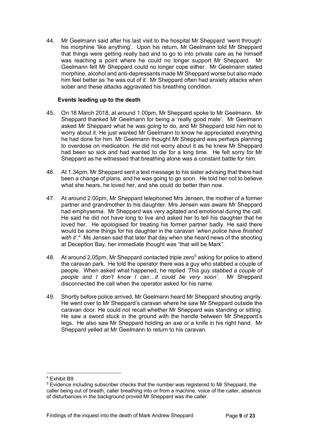44. Mr Geelmann said after his last visit to the hospital Mr Sheppard 'went through' his morphine 'like anything'. Upon his return, Mr Geelmann told Mr Sheppard that things were getting really bad and to go to into private care as he himself was reaching a point where he could no longer support Mr Sheppard. Mr Geelmann felt Mr Sheppard could no longer cope either. Mr Geelmann stated morphine, alcohol and anti-depressants made Mr Sheppard worse but also made him feel better as 'he was out of it'. Mr Sheppard often had anxiety attacks when sober and these attacks aggravated his breathing condition.

#### **Events leading up to the death**

- 45. On 18 March 2018, at around 1.00pm, Mr Sheppard spoke to Mr Geelmann. Mr Sheppard thanked Mr Geelmann for being a 'really good mate'. Mr Geelmann asked Mr Sheppard what he was going to do, and Mr Sheppard told him not to worry about it. He just wanted Mr Geelmann to know he appreciated everything he had done for him. Mr Geelmann thought Mr Sheppard was perhaps planning to overdose on medication. He did not worry about it as he knew Mr Sheppard had been so sick and had wanted to die for a long time. He felt sorry for Mr Sheppard as he witnessed that breathing alone was a constant battle for him.
- 46. At 1.34pm, Mr Sheppard sent a text message to his sister advising that there had been a change of plans, and he was going to go soon. He told her not to believe what she hears, he loved her, and she could do better than now.
- 47. At around 2.00pm, Mr Sheppard telephoned Mrs Jensen, the mother of a former partner and grandmother to his daughter. Mrs Jensen was aware Mr Sheppard had emphysema. Mr Sheppard was very agitated and emotional during the call. He said he did not have long to live and asked her to tell his daughter that he loved her. He apologised for treating his former partner badly. He said there would be some things for his daughter in the caravan '*when police have finished*  with it<sup>'.[4](#page-8-0)</sup> Ms Jensen said that later that day when she heard news of the shooting at Deception Bay, her immediate thought was "that will be Mark".
- 48. At around 2.0[5](#page-8-1)pm, Mr Sheppard contacted triple zero<sup>5</sup> asking for police to attend the caravan park. He told the operator there was a guy who stabbed a couple of people. When asked what happened, he replied *'This guy stabbed a couple of people and I don't know I can…it could be very soon'*. Mr Sheppard disconnected the call when the operator asked for his name.
- 49. Shortly before police arrived, Mr Geelmann heard Mr Sheppard shouting angrily. He went over to Mr Sheppard's caravan where he saw Mr Sheppard outside the caravan door. He could not recall whether Mr Sheppard was standing or sitting. He saw a sword stuck in the ground with the handle between Mr Sheppard's legs. He also saw Mr Sheppard holding an axe or a knife in his right hand. Mr Sheppard yelled at Mr Geelmann to return to his caravan.

<span id="page-8-0"></span><sup>4</sup> Exhibit B9.

<span id="page-8-1"></span><sup>5</sup> Evidence including subscriber checks that the number was registered to Mr Sheppard, the caller being out of breath, caller breathing into or from a machine, voice of the caller, absence of disturbances in the background proved Mr Sheppard was the caller.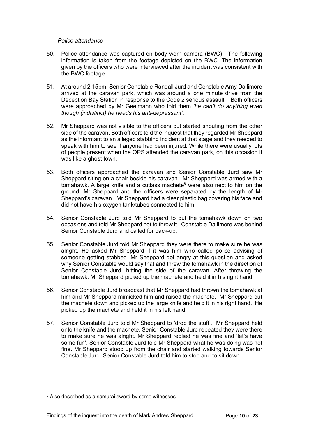#### *Police attendance*

- 50. Police attendance was captured on body worn camera (BWC). The following information is taken from the footage depicted on the BWC. The information given by the officers who were interviewed after the incident was consistent with the BWC footage.
- 51. At around 2.15pm, Senior Constable Randall Jurd and Constable Amy Dallimore arrived at the caravan park, which was around a one minute drive from the Deception Bay Station in response to the Code 2 serious assault. Both officers were approached by Mr Geelmann who told them *'he can't do anything even though (indistinct) he needs his anti-depressant'*.
- 52. Mr Sheppard was not visible to the officers but started shouting from the other side of the caravan. Both officers told the inquest that they regarded Mr Sheppard as the informant to an alleged stabbing incident at that stage and they needed to speak with him to see if anyone had been injured. While there were usually lots of people present when the QPS attended the caravan park, on this occasion it was like a ghost town.
- 53. Both officers approached the caravan and Senior Constable Jurd saw Mr Sheppard siting on a chair beside his caravan. Mr Sheppard was armed with a tomahawk. A large knife and a cutlass machete<sup>[6](#page-9-0)</sup> were also next to him on the ground. Mr Sheppard and the officers were separated by the length of Mr Sheppard's caravan. Mr Sheppard had a clear plastic bag covering his face and did not have his oxygen tank/tubes connected to him.
- 54. Senior Constable Jurd told Mr Sheppard to put the tomahawk down on two occasions and told Mr Sheppard not to throw it. Constable Dallimore was behind Senior Constable Jurd and called for back-up.
- 55. Senior Constable Jurd told Mr Sheppard they were there to make sure he was alright. He asked Mr Sheppard if it was him who called police advising of someone getting stabbed. Mr Sheppard got angry at this question and asked why Senior Constable would say that and threw the tomahawk in the direction of Senior Constable Jurd, hitting the side of the caravan. After throwing the tomahawk, Mr Sheppard picked up the machete and held it in his right hand.
- 56. Senior Constable Jurd broadcast that Mr Sheppard had thrown the tomahawk at him and Mr Sheppard mimicked him and raised the machete. Mr Sheppard put the machete down and picked up the large knife and held it in his right hand. He picked up the machete and held it in his left hand.
- 57. Senior Constable Jurd told Mr Sheppard to 'drop the stuff'. Mr Sheppard held onto the knife and the machete. Senior Constable Jurd repeated they were there to make sure he was alright. Mr Sheppard replied he was fine and 'let's have some fun'. Senior Constable Jurd told Mr Sheppard what he was doing was not fine. Mr Sheppard stood up from the chair and started walking towards Senior Constable Jurd. Senior Constable Jurd told him to stop and to sit down.

<span id="page-9-0"></span> $6$  Also described as a samurai sword by some witnesses.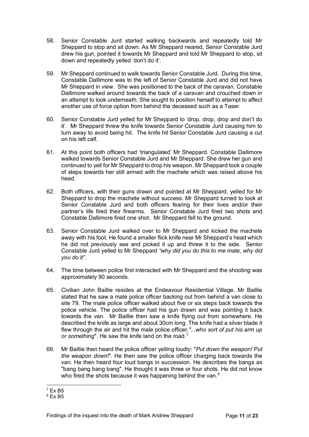- 58. Senior Constable Jurd started walking backwards and repeatedly told Mr Sheppard to stop and sit down. As Mr Sheppard neared, Senior Constable Jurd drew his gun, pointed it towards Mr Sheppard and told Mr Sheppard to stop, sit down and repeatedly yelled 'don't do it'.
- 59. Mr Sheppard continued to walk towards Senior Constable Jurd. During this time, Constable Dallimore was to the left of Senior Constable Jurd and did not have Mr Sheppard in view. She was positioned to the back of the caravan. Constable Dallimore walked around towards the back of a caravan and crouched down in an attempt to look underneath. She sought to position herself to attempt to affect another use of force option from behind the deceased such as a Taser.
- 60. Senior Constable Jurd yelled for Mr Sheppard to 'drop, drop, drop and don't do it'. Mr Sheppard threw the knife towards Senior Constable Jurd causing him to turn away to avoid being hit. The knife hit Senior Constable Jurd causing a cut on his left calf.
- 61. At this point both officers had 'triangulated' Mr Sheppard. Constable Dallimore walked towards Senior Constable Jurd and Mr Sheppard. She drew her gun and continued to yell for Mr Sheppard to drop his weapon. Mr Sheppard took a couple of steps towards her still armed with the machete which was raised above his head.
- 62. Both officers, with their guns drawn and pointed at Mr Sheppard, yelled for Mr Sheppard to drop the machete without success. Mr Sheppard turned to look at Senior Constable Jurd and both officers fearing for their lives and/or their partner's life fired their firearms. Senior Constable Jurd fired two shots and Constable Dallimore fired one shot. Mr Sheppard fell to the ground.
- 63. Senior Constable Jurd walked over to Mr Sheppard and kicked the machete away with his foot. He found a smaller flick knife near Mr Sheppard's head which he did not previously see and picked it up and threw it to the side. Senior Constable Jurd yelled to Mr Sheppard *"why did you do this to me mate, why did you do it"*.
- 64. The time between police first interacted with Mr Sheppard and the shooting was approximately 90 seconds.
- 65. Civilian John Baillie resides at the Endeavour Residential Village. Mr Baillie stated that he saw a male police officer backing out from behind a van close to site 79. The male police officer walked about five or six steps back towards the police vehicle. The police officer had his gun drawn and was pointing it back towards the van. Mr Baillie then saw a knife flying out from somewhere. He described the knife as large and about 30cm long. The knife had a silver blade it flew through the air and hit the male police officer*,"...who sort of put his arm up or something*". He saw the knife land on the road.[7](#page-10-0)
- 66. Mr Baillie then heard the police officer yelling loudly: "*Put down the weapon! Put the weapon down!*". He then saw the police officer charging back towards the van. He then heard four loud bangs in succession. He describes the bangs as "bang bang bang bang". He thought it was three or four shots. He did not know who fired the shots because it was happening behind the van.<sup>[8](#page-10-1)</sup>

<span id="page-10-0"></span> $7$  Ex B<sub>5</sub>

<span id="page-10-1"></span> $8$  Fx B<sub>5</sub>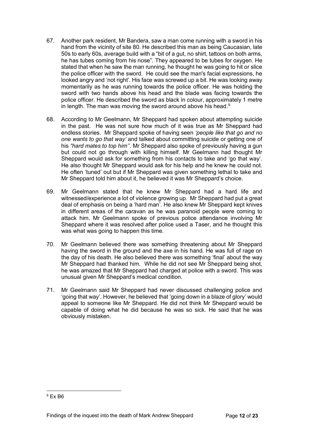- 67. Another park resident, Mr Bandera, saw a man come running with a sword in his hand from the vicinity of site 80. He described this man as being Caucasian, late 50s to early 60s, average build with a "bit of a gut, no shirt, tattoos on both arms, he has tubes coming from his nose". They appeared to be tubes for oxygen. He stated that when he saw the man running, he thought he was going to hit or slice the police officer with the sword. He could see the man's facial expressions, he looked angry and 'not right'. His face was screwed up a bit. He was looking away momentarily as he was running towards the police officer. He was holding the sword with two hands above his head and the blade was facing towards the police officer. He described the sword as black in colour, approximately 1 metre in length. The man was moving the sword around above his head.<sup>[9](#page-11-0)</sup>
- 68. According to Mr Geelmann, Mr Sheppard had spoken about attempting suicide in the past. He was not sure how much of it was true as Mr Sheppard had endless stories. Mr Sheppard spoke of having seen *'people like that go and no one wants to go that way'* and talked about committing suicide or getting one of his *"hard mates to top him''*. Mr Sheppard also spoke of previously having a gun but could not go through with killing himself. Mr Geelmann had thought Mr Sheppard would ask for something from his contacts to take and 'go that way'. He also thought Mr Sheppard would ask for his help and he knew he could not. He often 'tuned' out but if Mr Sheppard was given something lethal to take and Mr Sheppard told him about it, he believed it was Mr Sheppard's choice.
- 69. Mr Geelmann stated that he knew Mr Sheppard had a hard life and witnessed/experience a lot of violence growing up. Mr Sheppard had put a great deal of emphasis on being a 'hard man'. He also knew Mr Sheppard kept knives in different areas of the caravan as he was paranoid people were coming to attack him. Mr Geelmann spoke of previous police attendance involving Mr Sheppard where it was resolved after police used a Taser, and he thought this was what was going to happen this time.
- 70. Mr Geelmann believed there was something threatening about Mr Sheppard having the sword in the ground and the axe in his hand. He was full of rage on the day of his death. He also believed there was something 'final' about the way Mr Sheppard had thanked him. While he did not see Mr Sheppard being shot, he was amazed that Mr Sheppard had charged at police with a sword. This was unusual given Mr Sheppard's medical condition.
- 71. Mr Geelmann said Mr Sheppard had never discussed challenging police and 'going that way'. However, he believed that 'going down in a blaze of glory' would appeal to someone like Mr Sheppard. He did not think Mr Sheppard would be capable of doing what he did because he was so sick. He said that he was obviously mistaken.

<span id="page-11-0"></span> $9$  Fx B<sub>6</sub>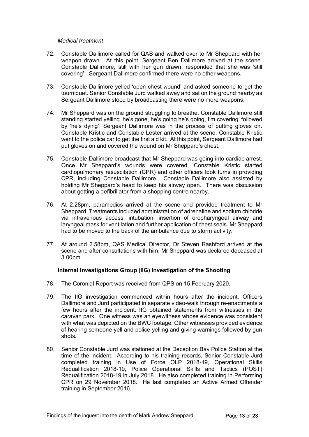#### *Medical treatment*

- 72. Constable Dallimore called for QAS and walked over to Mr Sheppard with her weapon drawn. At this point, Sergeant Ben Dallimore arrived at the scene. Constable Dallimore, still with her gun drawn, responded that she was 'still covering'. Sergeant Dallimore confirmed there were no other weapons.
- 73. Constable Dallimore yelled 'open chest wound' and asked someone to get the tourniquet. Senior Constable Jurd walked away and sat on the ground nearby as Sergeant Dallimore stood by broadcasting there were no more weapons.
- 74. Mr Sheppard was on the ground struggling to breathe. Constable Dallimore still standing started yelling 'he's gone, he's going he's going, I'm covering' followed by 'he's dying'. Sergeant Dallimore was in the process of putting gloves on. Constable Kristic and Constable Lester arrived at the scene. Constable Kristic went to the police car to get the first aid kit. At this point, Sergeant Dallimore had put gloves on and covered the wound on Mr Sheppard's chest.
- 75. Constable Dallimore broadcast that Mr Sheppard was going into cardiac arrest. Once Mr Sheppard's wounds were covered, Constable Kristic started cardiopulmonary resuscitation (CPR) and other officers took turns in providing CPR, including Constable Dallimore. Constable Dallimore also assisted by holding Mr Sheppard's head to keep his airway open. There was discussion about getting a defibrillator from a shopping centre nearby.
- 76. At 2.28pm, paramedics arrived at the scene and provided treatment to Mr Sheppard. Treatments included administration of adrenaline and sodium chloride via intravenous access, intubation, insertion of oropharyngeal airway and laryngeal mask for ventilation and further application of chest seals. Mr Sheppard had to be moved to the back of the ambulance due to storm activity.
- 77. At around 2.58pm, QAS Medical Director, Dr Steven Rashford arrived at the scene and after consultations with him, Mr Sheppard was declared deceased at 3.00pm.

#### **Internal Investigations Group (IIG) Investigation of the Shooting**

- 78. The Coronial Report was received from QPS on 15 February 2020.
- 79. The IIG investigation commenced within hours after the incident. Officers Dallimore and Jurd participated in separate video-walk through re-enactments a few hours after the incident. IIG obtained statements from witnesses in the caravan park. One witness was an eyewitness whose evidence was consistent with what was depicted on the BWC footage. Other witnesses provided evidence of hearing someone yell and police yelling and giving warnings followed by gun shots.
- 80. Senior Constable Jurd was stationed at the Deception Bay Police Station at the time of the incident. According to his training records, Senior Constable Jurd completed training in Use of Force OLP 2018-19, Operational Skills Requalification 2018-19, Police Operational Skills and Tactics (POST) Requalification 2018-19 in July 2018. He also completed training in Performing CPR on 29 November 2018. He last completed an Active Armed Offender training in September 2016.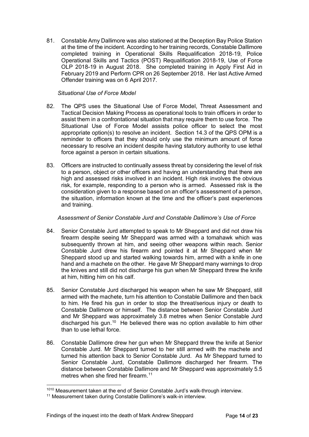81. Constable Amy Dallimore was also stationed at the Deception Bay Police Station at the time of the incident. According to her training records, Constable Dallimore completed training in Operational Skills Requalification 2018-19, Police Operational Skills and Tactics (POST) Requalification 2018-19, Use of Force OLP 2018-19 in August 2018. She completed training in Apply First Aid in February 2019 and Perform CPR on 26 September 2018. Her last Active Armed Offender training was on 6 April 2017.

#### *Situational Use of Force Model*

- 82. The QPS uses the Situational Use of Force Model, Threat Assessment and Tactical Decision Making Process as operational tools to train officers in order to assist them in a confrontational situation that may require them to use force. The Situational Use of Force Model assists police officer to select the most appropriate option(s) to resolve an incident. Section 14.3 of the QPS OPM is a reminder to officers that they should only use the minimum amount of force necessary to resolve an incident despite having statutory authority to use lethal force against a person in certain situations.
- 83. Officers are instructed to continually assess threat by considering the level of risk to a person, object or other officers and having an understanding that there are high and assessed risks involved in an incident. High risk involves the obvious risk, for example, responding to a person who is armed. Assessed risk is the consideration given to a response based on an officer's assessment of a person, the situation, information known at the time and the officer's past experiences and training.

#### *Assessment of Senior Constable Jurd and Constable Dallimore's Use of Force*

- 84. Senior Constable Jurd attempted to speak to Mr Sheppard and did not draw his firearm despite seeing Mr Sheppard was armed with a tomahawk which was subsequently thrown at him, and seeing other weapons within reach. Senior Constable Jurd drew his firearm and pointed it at Mr Sheppard when Mr Sheppard stood up and started walking towards him, armed with a knife in one hand and a machete on the other. He gave Mr Sheppard many warnings to drop the knives and still did not discharge his gun when Mr Sheppard threw the knife at him, hitting him on his calf.
- 85. Senior Constable Jurd discharged his weapon when he saw Mr Sheppard, still armed with the machete, turn his attention to Constable Dallimore and then back to him. He fired his gun in order to stop the threat/serious injury or death to Constable Dallimore or himself. The distance between Senior Constable Jurd and Mr Sheppard was approximately 3.8 metres when Senior Constable Jurd discharged his gun.[10](#page-13-0) He believed there was no option available to him other than to use lethal force.
- 86. Constable Dallimore drew her gun when Mr Sheppard threw the knife at Senior Constable Jurd. Mr Sheppard turned to her still armed with the machete and turned his attention back to Senior Constable Jurd. As Mr Sheppard turned to Senior Constable Jurd, Constable Dallimore discharged her firearm. The distance between Constable Dallimore and Mr Sheppard was approximately 5.5 metres when she fired her firearm.<sup>[11](#page-13-1)</sup>

<span id="page-13-0"></span><sup>1010</sup> Measurement taken at the end of Senior Constable Jurd's walk-through interview.

<span id="page-13-1"></span><sup>&</sup>lt;sup>11</sup> Measurement taken during Constable Dallimore's walk-in interview.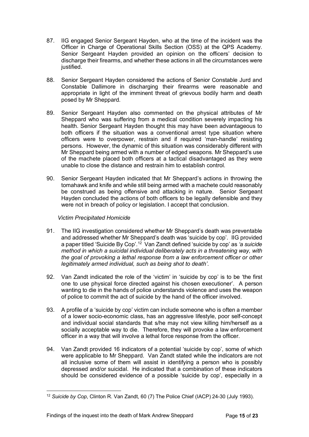- 87. IIG engaged Senior Sergeant Hayden, who at the time of the incident was the Officer in Charge of Operational Skills Section (OSS) at the QPS Academy. Senior Sergeant Hayden provided an opinion on the officers' decision to discharge their firearms, and whether these actions in all the circumstances were justified.
- 88. Senior Sergeant Hayden considered the actions of Senior Constable Jurd and Constable Dallimore in discharging their firearms were reasonable and appropriate in light of the imminent threat of grievous bodily harm and death posed by Mr Sheppard.
- 89. Senior Sergeant Hayden also commented on the physical attributes of Mr Sheppard who was suffering from a medical condition severely impacting his health. Senior Sergeant Hayden thought this may have been advantageous to both officers if the situation was a conventional arrest type situation where officers were to overpower, restrain and if required 'man-handle' resisting persons. However, the dynamic of this situation was considerably different with Mr Sheppard being armed with a number of edged weapons. Mr Sheppard's use of the machete placed both officers at a tactical disadvantaged as they were unable to close the distance and restrain him to establish control.
- 90. Senior Sergeant Hayden indicated that Mr Sheppard's actions in throwing the tomahawk and knife and while still being armed with a machete could reasonably be construed as being offensive and attacking in nature. Senior Sergeant Hayden concluded the actions of both officers to be legally defensible and they were not in breach of policy or legislation. I accept that conclusion.

#### *Victim Precipitated Homicide*

- 91. The IIG investigation considered whether Mr Sheppard's death was preventable and addressed whether Mr Sheppard's death was 'suicide by cop'. IIG provided a paper titled 'Suicide By Cop'.[12](#page-14-0) Van Zandt defined 'suicide by cop' as *'a suicide method in which a suicidal individual deliberately acts in a threatening way, with the goal of provoking a lethal response from a law enforcement officer or other legitimately armed individual, such as being shot to death'*.
- 92. Van Zandt indicated the role of the 'victim' in 'suicide by cop' is to be 'the first one to use physical force directed against his chosen executioner'. A person wanting to die in the hands of police understands violence and uses the weapon of police to commit the act of suicide by the hand of the officer involved.
- 93. A profile of a 'suicide by cop' victim can include someone who is often a member of a lower socio-economic class, has an aggressive lifestyle, poor self-concept and individual social standards that s/he may not view killing him/herself as a socially acceptable way to die. Therefore, they will provoke a law enforcement officer in a way that will involve a lethal force response from the officer.
- 94. Van Zandt provided 16 indicators of a potential 'suicide by cop', some of which were applicable to Mr Sheppard. Van Zandt stated while the indicators are not all inclusive some of them will assist in identifying a person who is possibly depressed and/or suicidal. He indicated that a combination of these indicators should be considered evidence of a possible 'suicide by cop', especially in a

<span id="page-14-0"></span><sup>12</sup> *Suicide by Cop*, Clinton R. Van Zandt, 60 (7) The Police Chief (IACP) 24-30 (July 1993).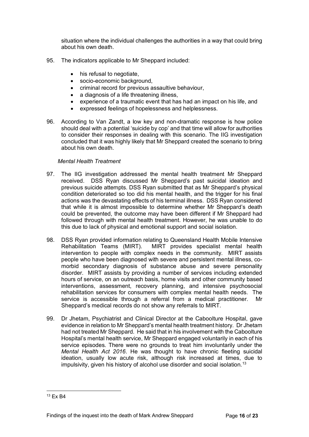situation where the individual challenges the authorities in a way that could bring about his own death.

- 95. The indicators applicable to Mr Sheppard included:
	- his refusal to negotiate,
	- socio-economic background,
	- criminal record for previous assaultive behaviour,
	- a diagnosis of a life threatening illness,
	- experience of a traumatic event that has had an impact on his life, and
	- expressed feelings of hopelessness and helplessness.
- 96. According to Van Zandt, a low key and non-dramatic response is how police should deal with a potential 'suicide by cop' and that time will allow for authorities to consider their responses in dealing with this scenario. The IIG investigation concluded that it was highly likely that Mr Sheppard created the scenario to bring about his own death.

#### *Mental Health Treatment*

- 97. The IIG investigation addressed the mental health treatment Mr Sheppard received. DSS Ryan discussed Mr Sheppard's past suicidal ideation and previous suicide attempts. DSS Ryan submitted that as Mr Sheppard's physical condition deteriorated so too did his mental health, and the trigger for his final actions was the devastating effects of his terminal illness. DSS Ryan considered that while it is almost impossible to determine whether Mr Sheppard's death could be prevented, the outcome may have been different if Mr Sheppard had followed through with mental health treatment. However, he was unable to do this due to lack of physical and emotional support and social isolation.
- 98. DSS Ryan provided information relating to Queensland Health Mobile Intensive Rehabilitation Teams (MIRT). MIRT provides specialist mental health intervention to people with complex needs in the community. MIRT assists people who have been diagnosed with severe and persistent mental illness, comorbid secondary diagnosis of substance abuse and severe personality disorder. MIRT assists by providing a number of services including extended hours of service, on an outreach basis, home visits and other community based interventions, assessment, recovery planning, and intensive psychosocial rehabilitation services for consumers with complex mental health needs. The service is accessible through a referral from a medical practitioner. Mr Sheppard's medical records do not show any referrals to MIRT.
- 99. Dr Jhetam, Psychiatrist and Clinical Director at the Caboolture Hospital, gave evidence in relation to Mr Sheppard's mental health treatment history. Dr Jhetam had not treated Mr Sheppard. He said that in his involvement with the Caboolture Hospital's mental health service, Mr Sheppard engaged voluntarily in each of his service episodes. There were no grounds to treat him involuntarily under the *Mental Health Act 2016*. He was thought to have chronic fleeting suicidal ideation, usually low acute risk, although risk increased at times, due to impulsivity, given his history of alcohol use disorder and social isolation.<sup>[13](#page-15-0)</sup>

<span id="page-15-0"></span><sup>13</sup> Ex B4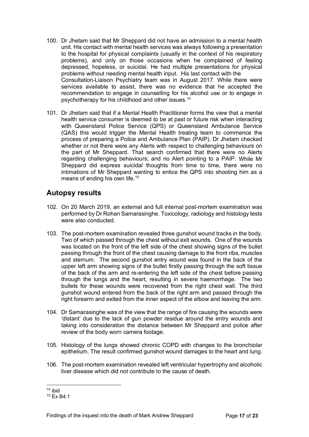- 100. Dr Jhetam said that Mr Sheppard did not have an admission to a mental health unit. His contact with mental health services was always following a presentation to the hospital for physical complaints (usually in the context of his respiratory problems), and only on those occasions when he complained of feeling depressed, hopeless, or suicidal. He had multiple presentations for physical problems without needing mental health input. His last contact with the Consultation-Liaison Psychiatry team was in August 2017. While there were services available to assist, there was no evidence that he accepted the recommendation to engage in counselling for his alcohol use or to engage in psychotherapy for his childhood and other issues.[14](#page-16-1)
- 101. Dr Jhetam said that if a Mental Health Practitioner forms the view that a mental health service consumer is deemed to be at past or future risk when interacting with Queensland Police Service (QPS) or Queensland Ambulance Service (QAS) this would trigger the Mental Health treating team to commence the process of preparing a Police and Ambulance Plan (PAIP). Dr Jhetam checked whether or not there were any Alerts with respect to challenging behaviours on the part of Mr Sheppard. That search confirmed that there were no Alerts regarding challenging behaviours; and no Alert pointing to a PAIP. While Mr Sheppard did express suicidal thoughts from time to time, there were no intimations of Mr Sheppard wanting to entice the QPS into shooting him as a means of ending his own life[.15](#page-16-2)

## <span id="page-16-0"></span>**Autopsy results**

- 102. On 20 March 2019, an external and full internal post-mortem examination was performed by Dr Rohan Samarasinghe. Toxicology, radiology and histology tests were also conducted.
- 103. The post-mortem examination revealed three gunshot wound tracks in the body. Two of which passed through the chest without exit wounds. One of the wounds was located on the front of the left side of the chest showing signs of the bullet passing through the front of the chest causing damage to the front ribs, muscles and sternum. The second gunshot entry wound was found in the back of the upper left arm showing signs of the bullet firstly passing through the soft tissue of the back of the arm and re-entering the left side of the chest before passing through the lungs and the heart, resulting in severe haemorrhage. The two bullets for these wounds were recovered from the right chest wall. The third gunshot wound entered from the back of the right arm and passed through the right forearm and exited from the inner aspect of the elbow and leaving the arm.
- 104. Dr Samarasinghe was of the view that the range of fire causing the wounds were 'distant' due to the lack of gun powder residue around the entry wounds and taking into consideration the distance between Mr Sheppard and police after review of the body worn camera footage.
- 105. Histology of the lungs showed chronic COPD with changes to the bronchiolar epithelium. The result confirmed gunshot wound damages to the heart and lung.
- 106. The post-mortem examination revealed left ventricular hypertrophy and alcoholic liver disease which did not contribute to the cause of death.

<span id="page-16-1"></span> $14$  ibid

<span id="page-16-2"></span><sup>&</sup>lt;sup>15</sup> Fx B4 1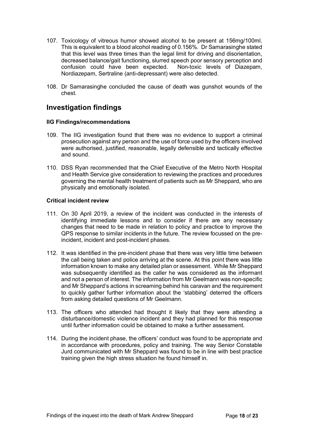- 107. Toxicology of vitreous humor showed alcohol to be present at 156mg/100ml. This is equivalent to a blood alcohol reading of 0.156%. Dr Samarasinghe stated that this level was three times than the legal limit for driving and disorientation, decreased balance/gait functioning, slurred speech poor sensory perception and<br>confusion could have been expected. Non-toxic levels of Diazepam.  $\overline{\text{confusion}}$  could have been expected. Nordiazepam, Sertraline (anti-depressant) were also detected.
- 108. Dr Samarasinghe concluded the cause of death was gunshot wounds of the chest.

## <span id="page-17-0"></span>**Investigation findings**

#### **IIG Findings/recommendations**

- 109. The IIG investigation found that there was no evidence to support a criminal prosecution against any person and the use of force used by the officers involved were authorised, justified, reasonable, legally defensible and tactically effective and sound.
- 110. DSS Ryan recommended that the Chief Executive of the Metro North Hospital and Health Service give consideration to reviewing the practices and procedures governing the mental health treatment of patients such as Mr Sheppard, who are physically and emotionally isolated.

#### **Critical incident review**

- 111. On 30 April 2019, a review of the incident was conducted in the interests of identifying immediate lessons and to consider if there are any necessary changes that need to be made in relation to policy and practice to improve the QPS response to similar incidents in the future. The review focussed on the preincident, incident and post-incident phases.
- 112. It was identified in the pre-incident phase that there was very little time between the call being taken and police arriving at the scene. At this point there was little information known to make any detailed plan or assessment. While Mr Sheppard was subsequently identified as the caller he was considered as the informant and not a person of interest. The information from Mr Geelmann was non-specific and Mr Sheppard's actions in screaming behind his caravan and the requirement to quickly gather further information about the 'stabbing' deterred the officers from asking detailed questions of Mr Geelmann.
- 113. The officers who attended had thought it likely that they were attending a disturbance/domestic violence incident and they had planned for this response until further information could be obtained to make a further assessment.
- 114. During the incident phase, the officers' conduct was found to be appropriate and in accordance with procedures, policy and training. The way Senior Constable Jurd communicated with Mr Sheppard was found to be in line with best practice training given the high stress situation he found himself in.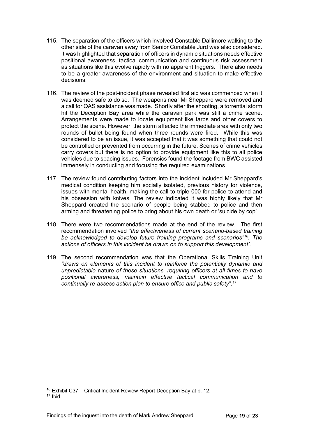- 115. The separation of the officers which involved Constable Dallimore walking to the other side of the caravan away from Senior Constable Jurd was also considered. It was highlighted that separation of officers in dynamic situations needs effective positional awareness, tactical communication and continuous risk assessment as situations like this evolve rapidly with no apparent triggers. There also needs to be a greater awareness of the environment and situation to make effective decisions.
- 116. The review of the post-incident phase revealed first aid was commenced when it was deemed safe to do so. The weapons near Mr Sheppard were removed and a call for QAS assistance was made. Shortly after the shooting, a torrential storm hit the Deception Bay area while the caravan park was still a crime scene. Arrangements were made to locate equipment like tarps and other covers to protect the scene. However, the storm affected the immediate area with only two rounds of bullet being found when three rounds were fired. While this was considered to be an issue, it was accepted that it was something that could not be controlled or prevented from occurring in the future. Scenes of crime vehicles carry covers but there is no option to provide equipment like this to all police vehicles due to spacing issues. Forensics found the footage from BWC assisted immensely in conducting and focusing the required examinations.
- 117. The review found contributing factors into the incident included Mr Sheppard's medical condition keeping him socially isolated, previous history for violence, issues with mental health, making the call to triple 000 for police to attend and his obsession with knives. The review indicated it was highly likely that Mr Sheppard created the scenario of people being stabbed to police and then arming and threatening police to bring about his own death or 'suicide by cop'.
- 118. There were two recommendations made at the end of the review. The first recommendation involved *"the effectiveness of current scenario-based training be acknowledged to develop future training programs and scenarios["16](#page-18-0). The actions of officers in this incident be drawn on to support this development'*.
- 119. The second recommendation was that the Operational Skills Training Unit *"draws on elements of this incident to reinforce the potentially dynamic and unpredictable* nature *of these situations, requiring officers at all times to have positional awareness, maintain effective tactical communication and to continually re-assess action plan to ensure office and public safety"*. [17](#page-18-1)

<span id="page-18-0"></span><sup>&</sup>lt;sup>16</sup> Exhibit C37 – Critical Incident Review Report Deception Bay at p. 12.

<span id="page-18-1"></span> $17$  Ibid.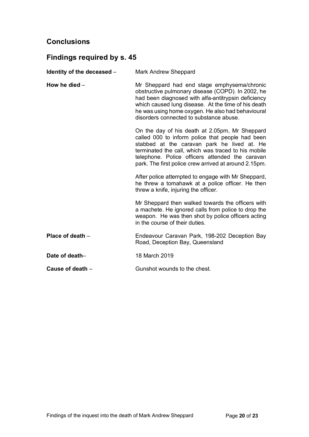## **Conclusions**

## <span id="page-19-0"></span>**Findings required by s. 45**

<span id="page-19-5"></span><span id="page-19-4"></span><span id="page-19-3"></span><span id="page-19-2"></span><span id="page-19-1"></span>

| Identity of the deceased - | <b>Mark Andrew Sheppard</b>                                                                                                                                                                                                                                                                                          |
|----------------------------|----------------------------------------------------------------------------------------------------------------------------------------------------------------------------------------------------------------------------------------------------------------------------------------------------------------------|
| How he died $-$            | Mr Sheppard had end stage emphysema/chronic<br>obstructive pulmonary disease (COPD). In 2002, he<br>had been diagnosed with alfa-antitrypsin deficiency<br>which caused lung disease. At the time of his death<br>he was using home oxygen. He also had behavioural<br>disorders connected to substance abuse.       |
|                            | On the day of his death at 2.05pm, Mr Sheppard<br>called 000 to inform police that people had been<br>stabbed at the caravan park he lived at. He<br>terminated the call, which was traced to his mobile<br>telephone. Police officers attended the caravan<br>park. The first police crew arrived at around 2.15pm. |
|                            | After police attempted to engage with Mr Sheppard,<br>he threw a tomahawk at a police officer. He then<br>threw a knife, injuring the officer.                                                                                                                                                                       |
|                            | Mr Sheppard then walked towards the officers with<br>a machete. He ignored calls from police to drop the<br>weapon. He was then shot by police officers acting<br>in the course of their duties.                                                                                                                     |
| Place of death $-$         | Endeavour Caravan Park, 198-202 Deception Bay<br>Road, Deception Bay, Queensland                                                                                                                                                                                                                                     |
| Date of death-             | 18 March 2019                                                                                                                                                                                                                                                                                                        |
| Cause of death $-$         | Gunshot wounds to the chest.                                                                                                                                                                                                                                                                                         |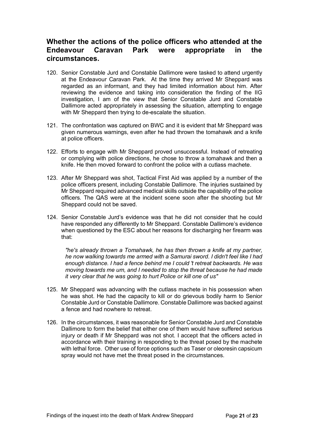## **Whether the actions of the police officers who attended at the Endeavour Caravan Park were appropriate in the circumstances.**

- 120. Senior Constable Jurd and Constable Dallimore were tasked to attend urgently at the Endeavour Caravan Park. At the time they arrived Mr Sheppard was regarded as an informant, and they had limited information about him. After reviewing the evidence and taking into consideration the finding of the IIG investigation, I am of the view that Senior Constable Jurd and Constable Dallimore acted appropriately in assessing the situation, attempting to engage with Mr Sheppard then trying to de-escalate the situation.
- 121. The confrontation was captured on BWC and it is evident that Mr Sheppard was given numerous warnings, even after he had thrown the tomahawk and a knife at police officers.
- 122. Efforts to engage with Mr Sheppard proved unsuccessful. Instead of retreating or complying with police directions, he chose to throw a tomahawk and then a knife. He then moved forward to confront the police with a cutlass machete.
- 123. After Mr Sheppard was shot, Tactical First Aid was applied by a number of the police officers present, including Constable Dallimore. The injuries sustained by Mr Sheppard required advanced medical skills outside the capability of the police officers. The QAS were at the incident scene soon after the shooting but Mr Sheppard could not be saved.
- 124. Senior Constable Jurd's evidence was that he did not consider that he could have responded any differently to Mr Sheppard. Constable Dallimore's evidence when questioned by the ESC about her reasons for discharging her firearm was that:

*"he's already thrown a Tomahawk, he has then thrown a knife at my partner, he now walking towards me armed with a Samurai sword. I didn't feel like I had enough distance. I had a fence behind me I could 't retreat backwards. He was moving towards me um, and I needed to stop the threat because he had made it very clear that he was going to hurt Police or kill one of us"*

- 125. Mr Sheppard was advancing with the cutlass machete in his possession when he was shot. He had the capacity to kill or do grievous bodily harm to Senior Constable Jurd or Constable Dallimore. Constable Dallimore was backed against a fence and had nowhere to retreat.
- 126. In the circumstances, it was reasonable for Senior Constable Jurd and Constable Dallimore to form the belief that either one of them would have suffered serious injury or death if Mr Sheppard was not shot. I accept that the officers acted in accordance with their training in responding to the threat posed by the machete with lethal force. Other use of force options such as Taser or oleoresin capsicum spray would not have met the threat posed in the circumstances.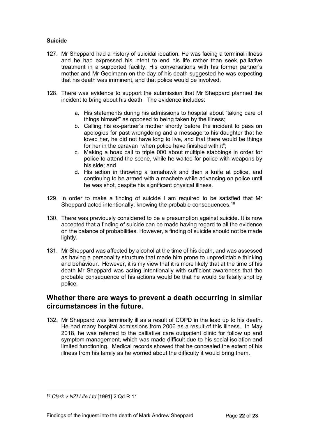#### **Suicide**

- 127. Mr Sheppard had a history of suicidal ideation. He was facing a terminal illness and he had expressed his intent to end his life rather than seek palliative treatment in a supported facility. His conversations with his former partner's mother and Mr Geelmann on the day of his death suggested he was expecting that his death was imminent, and that police would be involved.
- 128. There was evidence to support the submission that Mr Sheppard planned the incident to bring about his death. The evidence includes:
	- a. His statements during his admissions to hospital about "taking care of things himself" as opposed to being taken by the illness;
	- b. Calling his ex-partner's mother shortly before the incident to pass on apologies for past wrongdoing and a message to his daughter that he loved her, he did not have long to live, and that there would be things for her in the caravan "when police have finished with it";
	- c. Making a hoax call to triple 000 about multiple stabbings in order for police to attend the scene, while he waited for police with weapons by his side; and
	- d. His action in throwing a tomahawk and then a knife at police, and continuing to be armed with a machete while advancing on police until he was shot, despite his significant physical illness.
- 129. In order to make a finding of suicide I am required to be satisfied that Mr Sheppard acted intentionally, knowing the probable consequences.<sup>[18](#page-21-0)</sup>
- 130. There was previously considered to be a presumption against suicide. It is now accepted that a finding of suicide can be made having regard to all the evidence on the balance of probabilities. However, a finding of suicide should not be made lightly.
- 131. Mr Sheppard was affected by alcohol at the time of his death, and was assessed as having a personality structure that made him prone to unpredictable thinking and behaviour. However, it is my view that it is more likely that at the time of his death Mr Sheppard was acting intentionally with sufficient awareness that the probable consequence of his actions would be that he would be fatally shot by police.

### **Whether there are ways to prevent a death occurring in similar circumstances in the future.**

132. Mr Sheppard was terminally ill as a result of COPD in the lead up to his death. He had many hospital admissions from 2006 as a result of this illness. In May 2018, he was referred to the palliative care outpatient clinic for follow up and symptom management, which was made difficult due to his social isolation and limited functioning. Medical records showed that he concealed the extent of his illness from his family as he worried about the difficulty it would bring them.

<span id="page-21-0"></span><sup>18</sup> *Clark v NZI Life Ltd* [1991] 2 Qd R 11